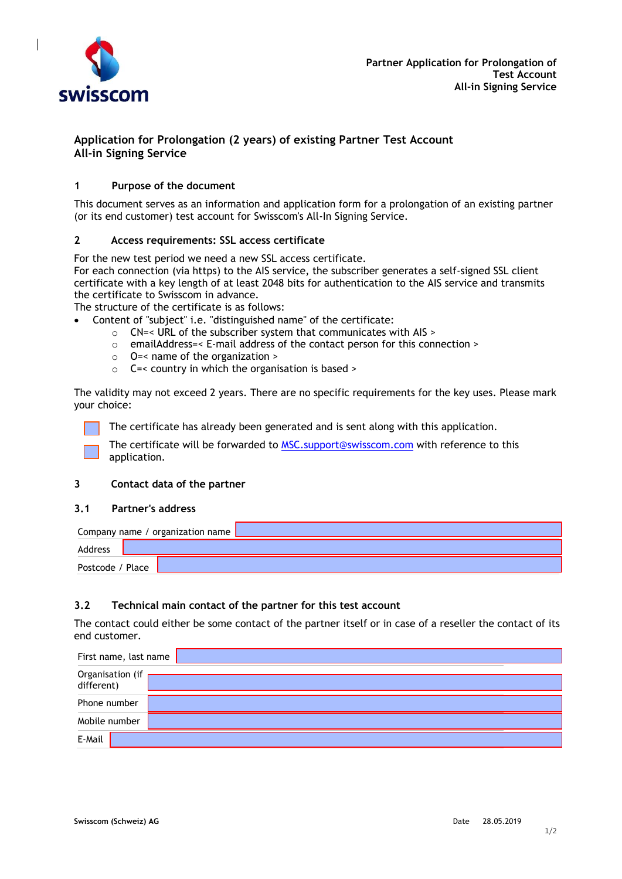

# **Application for Prolongation (2 years) of existing Partner Test Account All-in Signing Service**

## **1 Purpose of the document**

This document serves as an information and application form for a prolongation of an existing partner (or its end customer) test account for Swisscom's All-In Signing Service.

### **2 Access requirements: SSL access certificate**

For the new test period we need a new SSL access certificate.

For each connection (via https) to the AIS service, the subscriber generates a self-signed SSL client certificate with a key length of at least 2048 bits for authentication to the AIS service and transmits the certificate to Swisscom in advance.

The structure of the certificate is as follows:

- Content of "subject" i.e. "distinguished name" of the certificate:
	- o CN=< URL of the subscriber system that communicates with AIS >
	- o emailAddress=< E-mail address of the contact person for this connection >
	- o O=< name of the organization >
	- o C=< country in which the organisation is based >

The validity may not exceed 2 years. There are no specific requirements for the key uses. Please mark your choice:

The certificate has already been generated and is sent along with this application.

The certificate will be forwarded to [MSC.support@swisscom.com](mailto:MSC.support@swisscom.com) with reference to this application.

### **3 Contact data of the partner**

#### **3.1 Partner's address**

| Company name / organization name |  |  |
|----------------------------------|--|--|
| Address                          |  |  |
| Postcode / Place                 |  |  |

#### **3.2 Technical main contact of the partner for this test account**

The contact could either be some contact of the partner itself or in case of a reseller the contact of its end customer.

| First name, last name          |  |
|--------------------------------|--|
| Organisation (if<br>different) |  |
| Phone number                   |  |
| Mobile number                  |  |
| E-Mail                         |  |